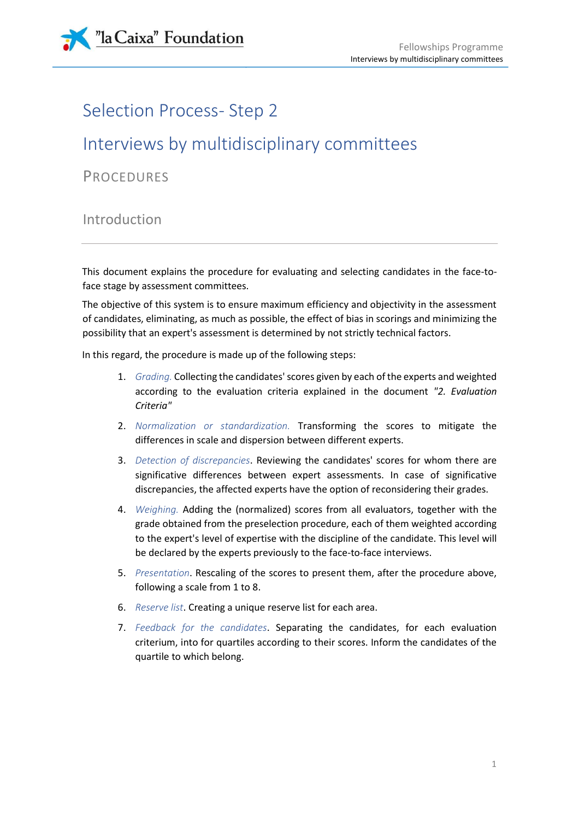

# Selection Process- Step 2

# Interviews by multidisciplinary committees

**PROCEDURES** 

## Introduction

This document explains the procedure for evaluating and selecting candidates in the face-toface stage by assessment committees.

The objective of this system is to ensure maximum efficiency and objectivity in the assessment of candidates, eliminating, as much as possible, the effect of bias in scorings and minimizing the possibility that an expert's assessment is determined by not strictly technical factors.

In this regard, the procedure is made up of the following steps:

- 1. *Grading.* Collecting the candidates' scores given by each of the experts and weighted according to the evaluation criteria explained in the document *"2. Evaluation Criteria"*
- 2. *Normalization or standardization.* Transforming the scores to mitigate the differences in scale and dispersion between different experts.
- 3. *Detection of discrepancies*. Reviewing the candidates' scores for whom there are significative differences between expert assessments. In case of significative discrepancies, the affected experts have the option of reconsidering their grades.
- 4. *Weighing.* Adding the (normalized) scores from all evaluators, together with the grade obtained from the preselection procedure, each of them weighted according to the expert's level of expertise with the discipline of the candidate. This level will be declared by the experts previously to the face-to-face interviews.
- 5. *Presentation*. Rescaling of the scores to present them, after the procedure above, following a scale from 1 to 8.
- 6. *Reserve list*. Creating a unique reserve list for each area.
- 7. *Feedback for the candidates*. Separating the candidates, for each evaluation criterium, into for quartiles according to their scores. Inform the candidates of the quartile to which belong.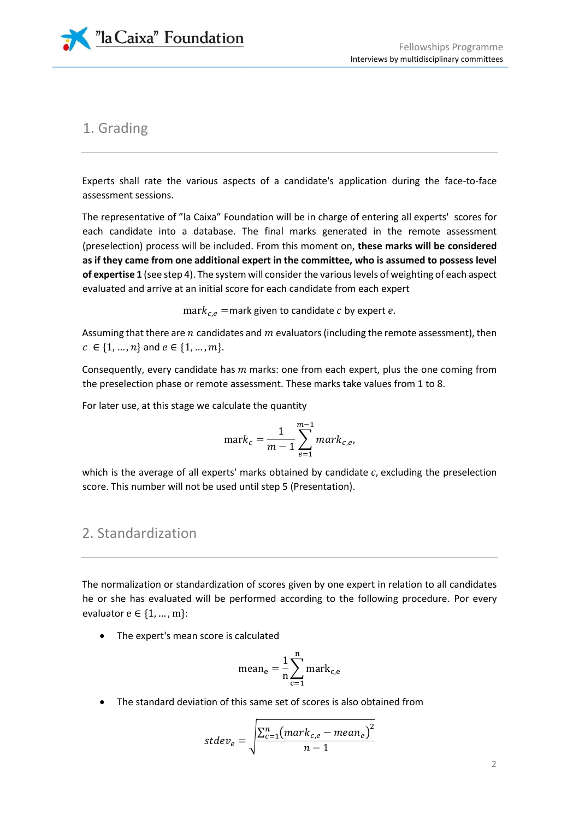

## 1. Grading

Experts shall rate the various aspects of a candidate's application during the face-to-face assessment sessions.

The representative of "la Caixa" Foundation will be in charge of entering all experts' scores for each candidate into a database. The final marks generated in the remote assessment (preselection) process will be included. From this moment on, **these marks will be considered as if they came from one additional expert in the committee, who is assumed to possess level of expertise 1** (see step 4). The system will consider the various levels of weighting of each aspect evaluated and arrive at an initial score for each candidate from each expert

mar $k_{c,e}$  =mark given to candidate c by expert e.

Assuming that there are  $n$  candidates and  $m$  evaluators (including the remote assessment), then  $c \in \{1, ..., n\}$  and  $e \in \{1, ..., m\}$ .

Consequently, every candidate has  $m$  marks: one from each expert, plus the one coming from the preselection phase or remote assessment. These marks take values from 1 to 8.

For later use, at this stage we calculate the quantity

$$
\text{mark}_c = \frac{1}{m-1} \sum_{e=1}^{m-1} \text{mark}_{c,e},
$$

which is the average of all experts' marks obtained by candidate  $c$ , excluding the preselection score. This number will not be used until step 5 (Presentation).

## 2. Standardization

The normalization or standardization of scores given by one expert in relation to all candidates he or she has evaluated will be performed according to the following procedure. Por every evaluator  $e \in \{1, ..., m\}$ :

The expert's mean score is calculated

$$
mean_e = \frac{1}{n} \sum_{c=1}^{n} mark_{c,e}
$$

The standard deviation of this same set of scores is also obtained from

$$
stdev_e = \sqrt{\frac{\sum_{c=1}^{n} (mark_{c,e} - mean_e)^2}{n - 1}}
$$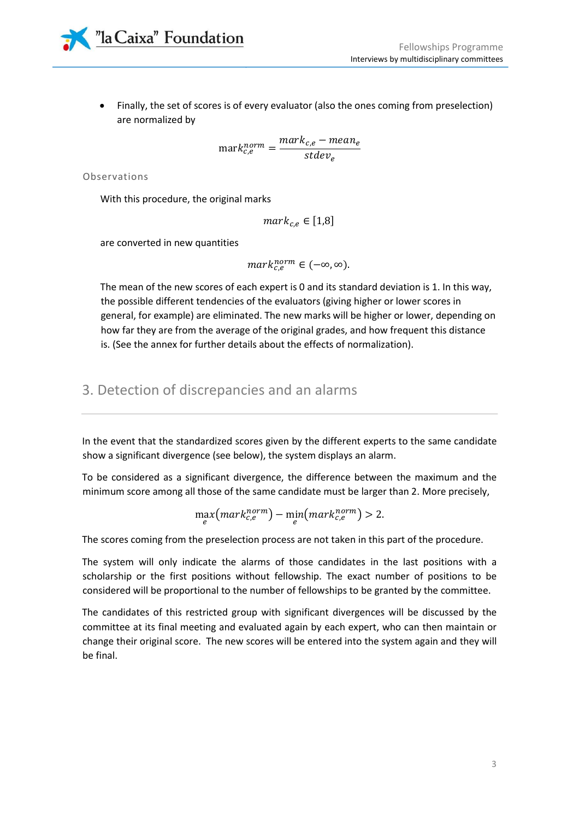

 Finally, the set of scores is of every evaluator (also the ones coming from preselection) are normalized by

> $\text{mark}_{c,e}^{norm} = \frac{mark_{c,e} - mean_e}{std_{e,e}}$ st $dev_{e}$

Observations

With this procedure, the original marks

$$
mark_{c,e} \in [1,8]
$$

are converted in new quantities

 $mark_{c,e}^{norm} \in (-\infty, \infty)$ .

The mean of the new scores of each expert is 0 and its standard deviation is 1. In this way, the possible different tendencies of the evaluators (giving higher or lower scores in general, for example) are eliminated. The new marks will be higher or lower, depending on how far they are from the average of the original grades, and how frequent this distance is. (See the annex for further details about the effects of normalization).

## 3. Detection of discrepancies and an alarms

In the event that the standardized scores given by the different experts to the same candidate show a significant divergence (see below), the system displays an alarm.

To be considered as a significant divergence, the difference between the maximum and the minimum score among all those of the same candidate must be larger than 2. More precisely,

$$
\max_{e}(mark_{c,e}^{norm}) - \min_{e}(mark_{c,e}^{norm}) > 2.
$$

The scores coming from the preselection process are not taken in this part of the procedure.

The system will only indicate the alarms of those candidates in the last positions with a scholarship or the first positions without fellowship. The exact number of positions to be considered will be proportional to the number of fellowships to be granted by the committee.

The candidates of this restricted group with significant divergences will be discussed by the committee at its final meeting and evaluated again by each expert, who can then maintain or change their original score. The new scores will be entered into the system again and they will be final.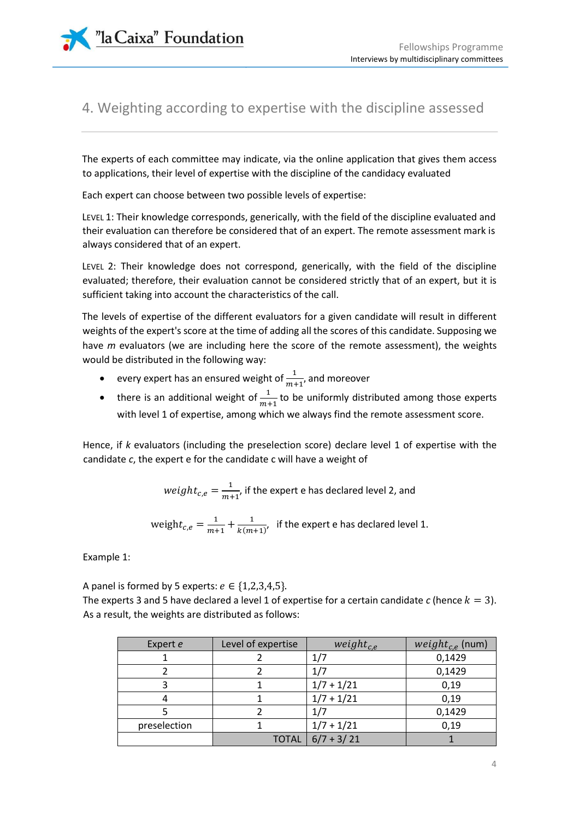"la Caixa" Foundation

## 4. Weighting according to expertise with the discipline assessed

The experts of each committee may indicate, via the online application that gives them access to applications, their level of expertise with the discipline of the candidacy evaluated

Each expert can choose between two possible levels of expertise:

LEVEL 1: Their knowledge corresponds, generically, with the field of the discipline evaluated and their evaluation can therefore be considered that of an expert. The remote assessment mark is always considered that of an expert.

LEVEL 2: Their knowledge does not correspond, generically, with the field of the discipline evaluated; therefore, their evaluation cannot be considered strictly that of an expert, but it is sufficient taking into account the characteristics of the call.

The levels of expertise of the different evaluators for a given candidate will result in different weights of the expert's score at the time of adding all the scores of this candidate. Supposing we have *m* evaluators (we are including here the score of the remote assessment), the weights would be distributed in the following way:

- every expert has an ensured weight of  $\frac{1}{m+1}$ , and moreover
- there is an additional weight of  $\frac{1}{m+1}$  to be uniformly distributed among those experts with level 1 of expertise, among which we always find the remote assessment score.

Hence, if *k* evaluators (including the preselection score) declare level 1 of expertise with the candidate *c*, the expert e for the candidate c will have a weight of

> weight $_{c,e}=\frac{1}{m+1}$  $\frac{1}{m+1}$ , if the expert e has declared level 2, and

weigh $t_{c,e} = \frac{1}{m+1}$  $\frac{1}{m+1} + \frac{1}{k(m+1)}$  $\frac{1}{k(m+1)}$ , if the expert e has declared level 1.

Example 1:

A panel is formed by 5 experts:  $e \in \{1,2,3,4,5\}$ .

The experts 3 and 5 have declared a level 1 of expertise for a certain candidate *c* (hence  $k = 3$ ). As a result, the weights are distributed as follows:

| Expert e     | Level of expertise | weight <sub>c.e</sub> | <i>weight<sub>c.e</sub></i> (num) |
|--------------|--------------------|-----------------------|-----------------------------------|
|              |                    | 1/7                   | 0,1429                            |
|              |                    | 1/7                   | 0,1429                            |
|              |                    | $1/7 + 1/21$          | 0,19                              |
|              |                    | $1/7 + 1/21$          | 0,19                              |
|              |                    | 1/7                   | 0,1429                            |
| preselection |                    | $1/7 + 1/21$          | 0,19                              |
|              |                    | TOTAL $ 6/7 + 3/21$   |                                   |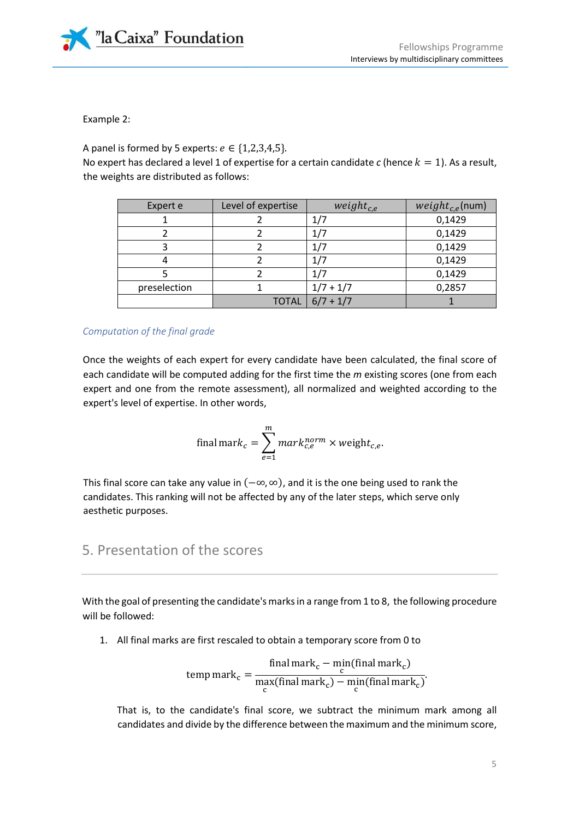

Example 2:

A panel is formed by 5 experts:  $e \in \{1,2,3,4,5\}$ .

No expert has declared a level 1 of expertise for a certain candidate  $c$  (hence  $k = 1$ ). As a result, the weights are distributed as follows:

| Expert e     | Level of expertise | weight <sub>c.e</sub> | $weight_{c,e}$ (num) |
|--------------|--------------------|-----------------------|----------------------|
|              |                    | 1/7                   | 0,1429               |
|              |                    | 1/7                   | 0,1429               |
|              |                    | 1/7                   | 0,1429               |
|              |                    | 1/7                   | 0,1429               |
|              |                    |                       | 0,1429               |
| preselection |                    | $1/7 + 1/7$           | 0,2857               |
|              |                    | TOTAL $ 6/7 + 1/7 $   |                      |

*Computation of the final grade*

Once the weights of each expert for every candidate have been calculated, the final score of each candidate will be computed adding for the first time the *m* existing scores (one from each expert and one from the remote assessment), all normalized and weighted according to the expert's level of expertise. In other words,

final mark<sub>c</sub> = 
$$
\sum_{e=1}^{m} mark_{c,e}^{norm} \times weight_{c,e}.
$$

This final score can take any value in  $(-\infty, \infty)$ , and it is the one being used to rank the candidates. This ranking will not be affected by any of the later steps, which serve only aesthetic purposes.

## 5. Presentation of the scores

With the goal of presenting the candidate's marks in a range from 1 to 8, the following procedure will be followed:

1. All final marks are first rescaled to obtain a temporary score from 0 to

temp mark<sub>c</sub> = 
$$
\frac{\text{final mark}_{c} - \text{min}(\text{final mark}_{c})}{\max_{c}(\text{final mark}_{c}) - \min_{c}(\text{final mark}_{c})}.
$$

That is, to the candidate's final score, we subtract the minimum mark among all candidates and divide by the difference between the maximum and the minimum score,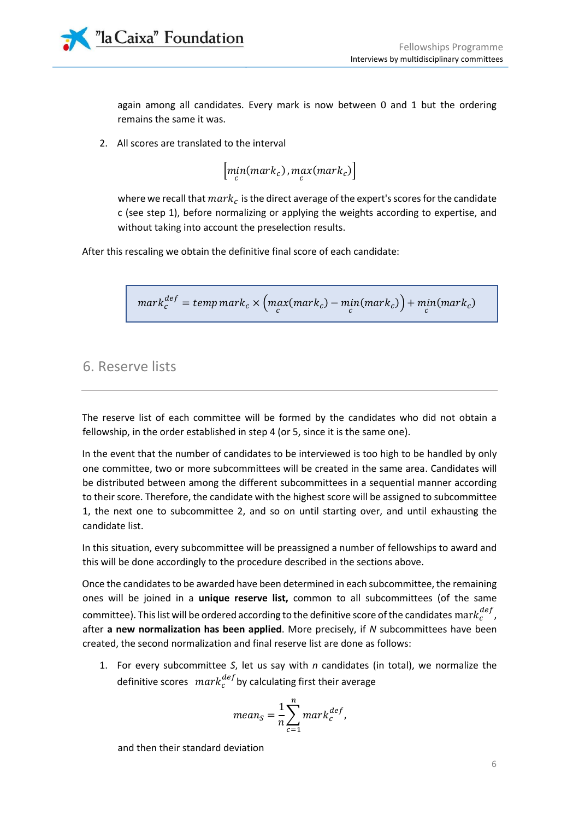

again among all candidates. Every mark is now between 0 and 1 but the ordering remains the same it was.

2. All scores are translated to the interval

$$
\left[\min_c(\text{mark}_c), \max_c(\text{mark}_c)\right]
$$

where we recall that  $mark_c$  is the direct average of the expert's scores for the candidate c (see step 1), before normalizing or applying the weights according to expertise, and without taking into account the preselection results.

After this rescaling we obtain the definitive final score of each candidate:

$$
mark_c^{def} = temp\, mark_c \times \left(max(mark_c) - min(mark_c)\right) + min(mark_c)
$$

## 6. Reserve lists

The reserve list of each committee will be formed by the candidates who did not obtain a fellowship, in the order established in step 4 (or 5, since it is the same one).

In the event that the number of candidates to be interviewed is too high to be handled by only one committee, two or more subcommittees will be created in the same area. Candidates will be distributed between among the different subcommittees in a sequential manner according to their score. Therefore, the candidate with the highest score will be assigned to subcommittee 1, the next one to subcommittee 2, and so on until starting over, and until exhausting the candidate list.

In this situation, every subcommittee will be preassigned a number of fellowships to award and this will be done accordingly to the procedure described in the sections above.

Once the candidates to be awarded have been determined in each subcommittee, the remaining ones will be joined in a **unique reserve list,** common to all subcommittees (of the same committee). This list will be ordered according to the definitive score of the candidates  $\mathrm{mark}^{def}_{c}$  , after **a new normalization has been applied**. More precisely, if *N* subcommittees have been created, the second normalization and final reserve list are done as follows:

1. For every subcommittee *S*, let us say with *n* candidates (in total), we normalize the definitive scores  $\; mark^{def}_c$ by calculating first their average

$$
mean_S = \frac{1}{n} \sum_{c=1}^{n} mark_c^{def},
$$

and then their standard deviation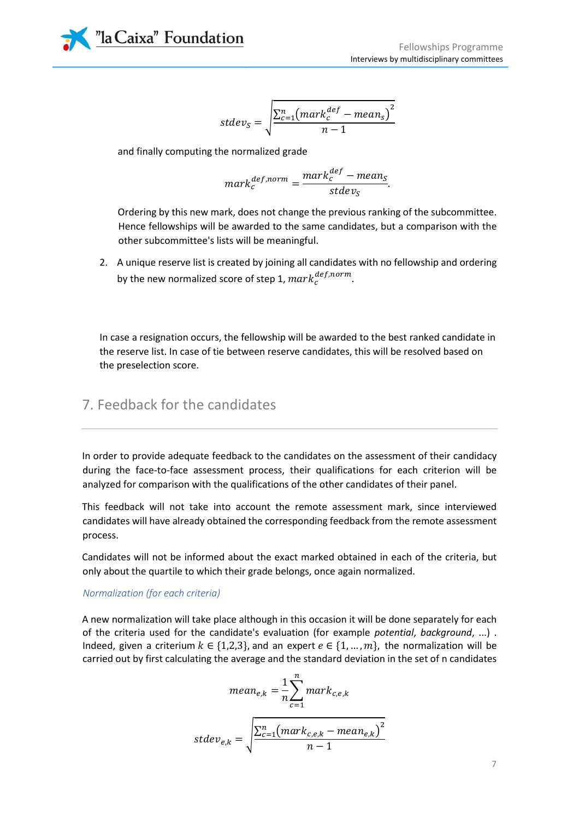"la Caixa" Foundation

$$
stdev_S = \sqrt{\frac{\sum_{c=1}^{n} (mark_c^{def} - mean_s)^2}{n-1}}
$$

and finally computing the normalized grade

$$
mark_c^{def,norm} = \frac{mark_c^{def} - mean_S}{stdev_S}.
$$

Ordering by this new mark, does not change the previous ranking of the subcommittee. Hence fellowships will be awarded to the same candidates, but a comparison with the other subcommittee's lists will be meaningful.

2. A unique reserve list is created by joining all candidates with no fellowship and ordering by the new normalized score of step 1,  $mark_c^{def,norm}$ .

In case a resignation occurs, the fellowship will be awarded to the best ranked candidate in the reserve list. In case of tie between reserve candidates, this will be resolved based on the preselection score.

## 7. Feedback for the candidates

In order to provide adequate feedback to the candidates on the assessment of their candidacy during the face-to-face assessment process, their qualifications for each criterion will be analyzed for comparison with the qualifications of the other candidates of their panel.

This feedback will not take into account the remote assessment mark, since interviewed candidates will have already obtained the corresponding feedback from the remote assessment process.

Candidates will not be informed about the exact marked obtained in each of the criteria, but only about the quartile to which their grade belongs, once again normalized.

#### *Normalization (for each criteria)*

A new normalization will take place although in this occasion it will be done separately for each of the criteria used for the candidate's evaluation (for example *potential*, *background*, ...) . Indeed, given a criterium  $k \in \{1,2,3\}$ , and an expert  $e \in \{1, ..., m\}$ , the normalization will be carried out by first calculating the average and the standard deviation in the set of n candidates

$$
mean_{e,k} = \frac{1}{n} \sum_{c=1}^{n} mark_{c,e,k}
$$

$$
stdev_{e,k} = \sqrt{\frac{\sum_{c=1}^{n} (mark_{c,e,k} - mean_{e,k})^2}{n - 1}}
$$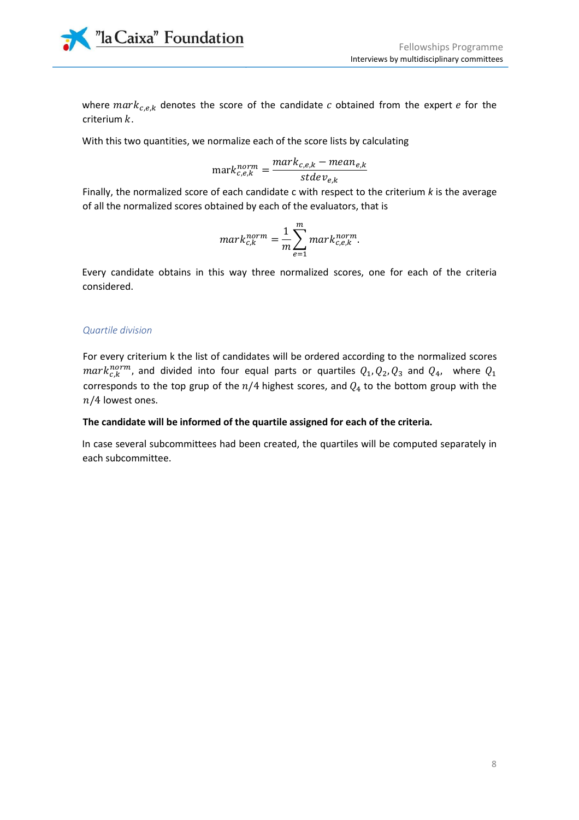"la Caixa" Foundation

where  $mark_{c,e,k}$  denotes the score of the candidate  $c$  obtained from the expert  $e$  for the criterium  $k$ .

With this two quantities, we normalize each of the score lists by calculating

$$
\text{mark}_{c,e,k}^{\text{norm}} = \frac{\text{mark}_{c,e,k} - \text{mean}_{e,k}}{\text{stdev}_{e,k}}
$$

Finally, the normalized score of each candidate c with respect to the criterium *k* is the average of all the normalized scores obtained by each of the evaluators, that is

$$
mark_{c,k}^{norm} = \frac{1}{m} \sum_{e=1}^{m} mark_{c,e,k}^{norm}.
$$

Every candidate obtains in this way three normalized scores, one for each of the criteria considered.

#### *Quartile division*

For every criterium k the list of candidates will be ordered according to the normalized scores  $mark^{norm}_{c,k}$ , and divided into four equal parts or quartiles  $Q_1,Q_2,Q_3$  and  $Q_4$ , where  $Q_1$ corresponds to the top grup of the  $n/4$  highest scores, and  $Q_4$  to the bottom group with the  $n/4$  lowest ones.

#### **The candidate will be informed of the quartile assigned for each of the criteria.**

In case several subcommittees had been created, the quartiles will be computed separately in each subcommittee.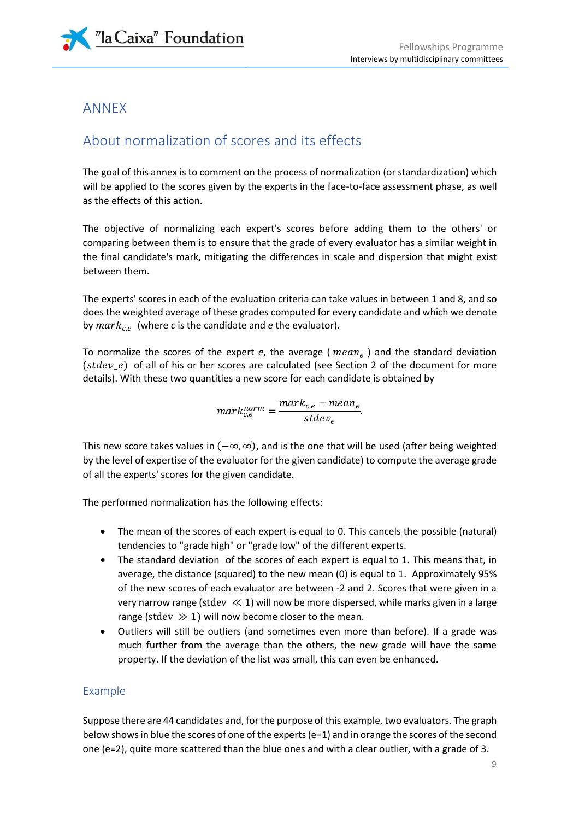

## ANNEX

## About normalization of scores and its effects

The goal of this annex is to comment on the process of normalization (or standardization) which will be applied to the scores given by the experts in the face-to-face assessment phase, as well as the effects of this action.

The objective of normalizing each expert's scores before adding them to the others' or comparing between them is to ensure that the grade of every evaluator has a similar weight in the final candidate's mark, mitigating the differences in scale and dispersion that might exist between them.

The experts' scores in each of the evaluation criteria can take values in between 1 and 8, and so does the weighted average of these grades computed for every candidate and which we denote by  $mark_{c,e}$  (where *c* is the candidate and *e* the evaluator).

To normalize the scores of the expert *e*, the average (  $mean_e$  ) and the standard deviation  $(stdev_e)$  of all of his or her scores are calculated (see Section 2 of the document for more details). With these two quantities a new score for each candidate is obtained by

$$
mark_{c,e}^{norm} = \frac{mark_{c,e} - mean_e}{stdev_e}.
$$

This new score takes values in  $(-\infty, \infty)$ , and is the one that will be used (after being weighted by the level of expertise of the evaluator for the given candidate) to compute the average grade of all the experts' scores for the given candidate.

The performed normalization has the following effects:

- The mean of the scores of each expert is equal to 0. This cancels the possible (natural) tendencies to "grade high" or "grade low" of the different experts.
- The standard deviation of the scores of each expert is equal to 1. This means that, in average, the distance (squared) to the new mean (0) is equal to 1. Approximately 95% of the new scores of each evaluator are between -2 and 2. Scores that were given in a very narrow range (stdev  $\ll 1$ ) will now be more dispersed, while marks given in a large range (stdev  $\gg$  1) will now become closer to the mean.
- Outliers will still be outliers (and sometimes even more than before). If a grade was much further from the average than the others, the new grade will have the same property. If the deviation of the list was small, this can even be enhanced.

### Example

Suppose there are 44 candidates and, for the purpose of this example, two evaluators. The graph below shows in blue the scores of one of the experts (e=1) and in orange the scores of the second one (e=2), quite more scattered than the blue ones and with a clear outlier, with a grade of 3.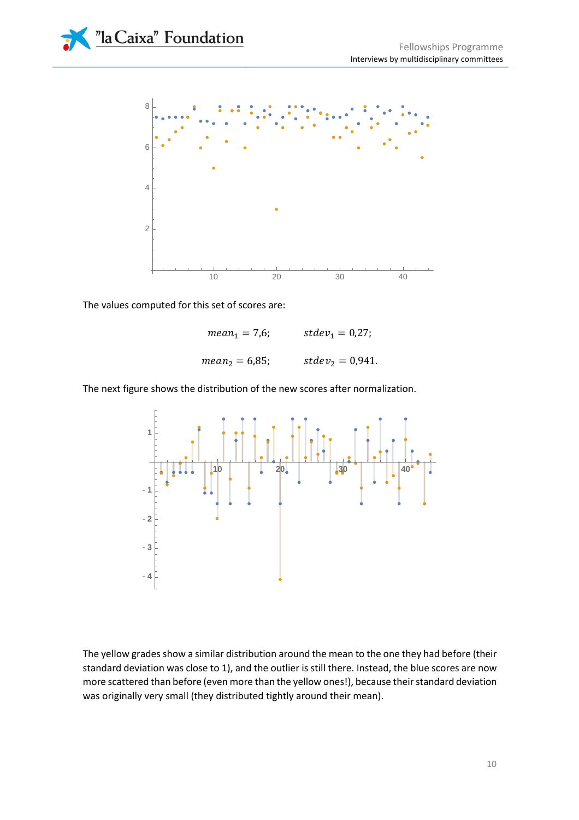



The values computed for this set of scores are:

 $mean_1 = 7.6;$   $stdev_1 = 0.27;$  $mean_2 = 6.85$ ;  $stdev_2 = 0.941$ .

The next figure shows the distribution of the new scores after normalization.



The yellow grades show a similar distribution around the mean to the one they had before (their standard deviation was close to 1), and the outlier is still there. Instead, the blue scores are now more scattered than before (even more than the yellow ones!), because their standard deviation was originally very small (they distributed tightly around their mean).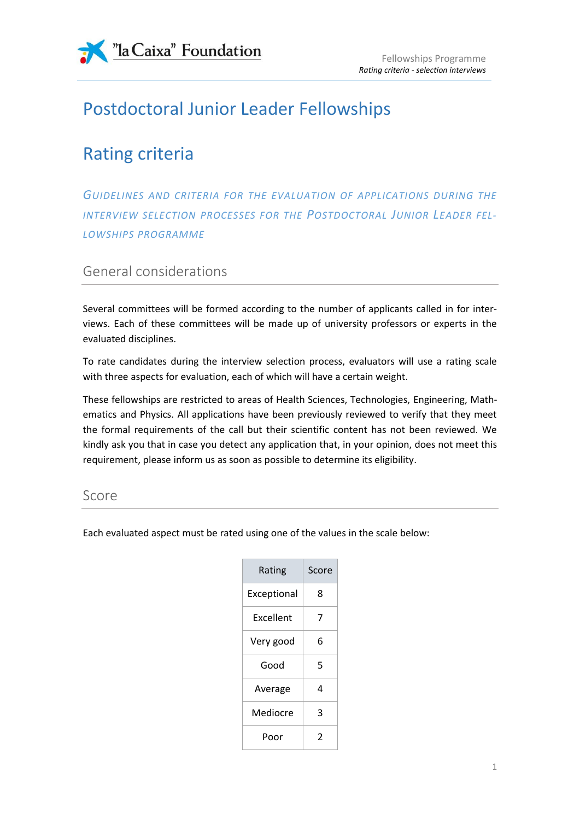

# Postdoctoral Junior Leader Fellowships

# Rating criteria

*GUIDELINES AND CRITERIA FOR THE EVALUATION OF APPLICATIONS DURING THE INTERVIEW SELECTION PROCESSES FOR THE POSTDOCTORAL JUNIOR LEADER FEL-LOWSHIPS PROGRAMME*

## General considerations

Several committees will be formed according to the number of applicants called in for interviews. Each of these committees will be made up of university professors or experts in the evaluated disciplines.

To rate candidates during the interview selection process, evaluators will use a rating scale with three aspects for evaluation, each of which will have a certain weight.

These fellowships are restricted to areas of Health Sciences, Technologies, Engineering, Mathematics and Physics. All applications have been previously reviewed to verify that they meet the formal requirements of the call but their scientific content has not been reviewed. We kindly ask you that in case you detect any application that, in your opinion, does not meet this requirement, please inform us as soon as possible to determine its eligibility.

## Score

Each evaluated aspect must be rated using one of the values in the scale below:

| Rating      | Score |
|-------------|-------|
| Exceptional | 8     |
| Excellent   | 7     |
| Very good   | 6     |
| Good        | 5     |
| Average     | 4     |
| Mediocre    | 3     |
| Poor        | 2     |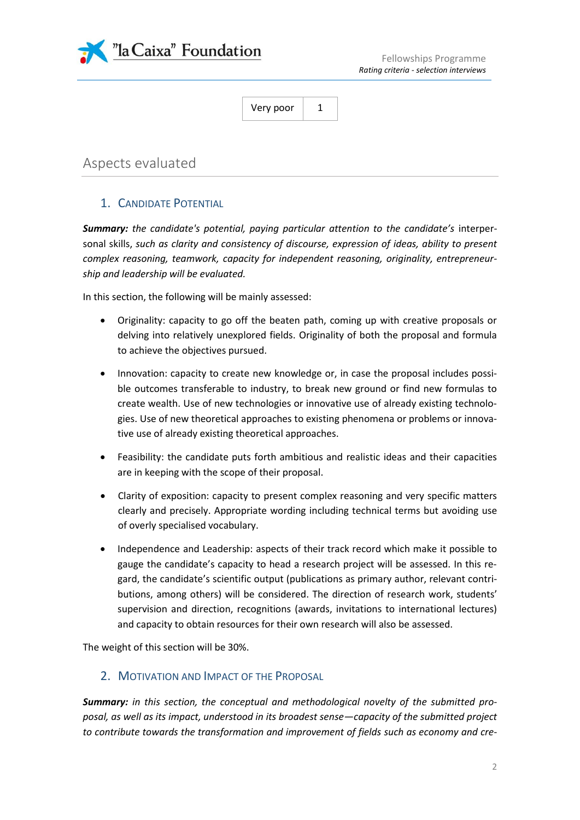

## Aspects evaluated

#### 1. CANDIDATE POTENTIAL

*Summary: the candidate's potential, paying particular attention to the candidate's* interpersonal skills, *such as clarity and consistency of discourse, expression of ideas, ability to present complex reasoning, teamwork, capacity for independent reasoning, originality, entrepreneurship and leadership will be evaluated.*

In this section, the following will be mainly assessed:

- Originality: capacity to go off the beaten path, coming up with creative proposals or delving into relatively unexplored fields. Originality of both the proposal and formula to achieve the objectives pursued.
- Innovation: capacity to create new knowledge or, in case the proposal includes possible outcomes transferable to industry, to break new ground or find new formulas to create wealth. Use of new technologies or innovative use of already existing technologies. Use of new theoretical approaches to existing phenomena or problems or innovative use of already existing theoretical approaches.
- Feasibility: the candidate puts forth ambitious and realistic ideas and their capacities are in keeping with the scope of their proposal.
- Clarity of exposition: capacity to present complex reasoning and very specific matters clearly and precisely. Appropriate wording including technical terms but avoiding use of overly specialised vocabulary.
- Independence and Leadership: aspects of their track record which make it possible to gauge the candidate's capacity to head a research project will be assessed. In this regard, the candidate's scientific output (publications as primary author, relevant contributions, among others) will be considered. The direction of research work, students' supervision and direction, recognitions (awards, invitations to international lectures) and capacity to obtain resources for their own research will also be assessed.

The weight of this section will be 30%.

#### 2. MOTIVATION AND IMPACT OF THE PROPOSAL

*Summary: in this section, the conceptual and methodological novelty of the submitted proposal, as well as its impact, understood in its broadest sense—capacity of the submitted project to contribute towards the transformation and improvement of fields such as economy and cre-*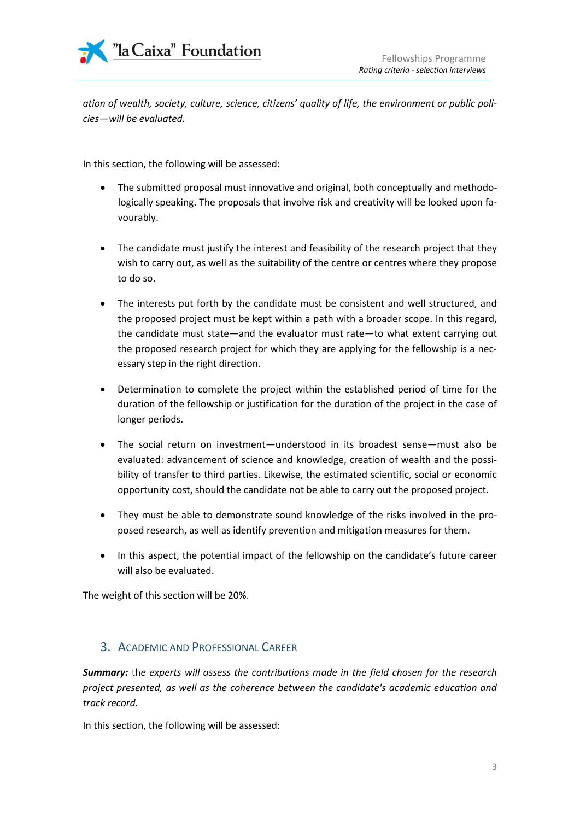

*ation of wealth, society, culture, science, citizens' quality of life, the environment or public policies—will be evaluated.*

In this section, the following will be assessed:

- The submitted proposal must innovative and original, both conceptually and methodologically speaking. The proposals that involve risk and creativity will be looked upon favourably.
- The candidate must justify the interest and feasibility of the research project that they wish to carry out, as well as the suitability of the centre or centres where they propose to do so.
- The interests put forth by the candidate must be consistent and well structured, and the proposed project must be kept within a path with a broader scope. In this regard, the candidate must state—and the evaluator must rate—to what extent carrying out the proposed research project for which they are applying for the fellowship is a necessary step in the right direction.
- Determination to complete the project within the established period of time for the duration of the fellowship or justification for the duration of the project in the case of longer periods.
- The social return on investment—understood in its broadest sense—must also be evaluated: advancement of science and knowledge, creation of wealth and the possibility of transfer to third parties. Likewise, the estimated scientific, social or economic opportunity cost, should the candidate not be able to carry out the proposed project.
- They must be able to demonstrate sound knowledge of the risks involved in the proposed research, as well as identify prevention and mitigation measures for them.
- In this aspect, the potential impact of the fellowship on the candidate's future career will also be evaluated.

The weight of this section will be 20%.

#### 3. ACADEMIC AND PROFESSIONAL CAREER

*Summary:* th*e experts will assess the contributions made in the field chosen for the research project presented, as well as the coherence between the candidate's academic education and track record.*

In this section, the following will be assessed: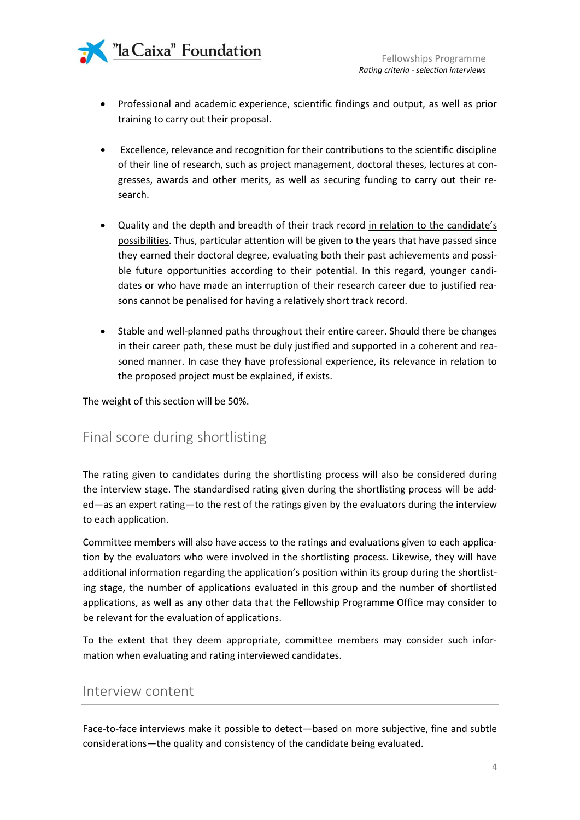- Professional and academic experience, scientific findings and output, as well as prior training to carry out their proposal.
- Excellence, relevance and recognition for their contributions to the scientific discipline of their line of research, such as project management, doctoral theses, lectures at congresses, awards and other merits, as well as securing funding to carry out their research.
- Quality and the depth and breadth of their track record in relation to the candidate's possibilities. Thus, particular attention will be given to the years that have passed since they earned their doctoral degree, evaluating both their past achievements and possible future opportunities according to their potential. In this regard, younger candidates or who have made an interruption of their research career due to justified reasons cannot be penalised for having a relatively short track record.
- Stable and well-planned paths throughout their entire career. Should there be changes in their career path, these must be duly justified and supported in a coherent and reasoned manner. In case they have professional experience, its relevance in relation to the proposed project must be explained, if exists.

The weight of this section will be 50%.

## Final score during shortlisting

The rating given to candidates during the shortlisting process will also be considered during the interview stage. The standardised rating given during the shortlisting process will be added—as an expert rating—to the rest of the ratings given by the evaluators during the interview to each application.

Committee members will also have access to the ratings and evaluations given to each application by the evaluators who were involved in the shortlisting process. Likewise, they will have additional information regarding the application's position within its group during the shortlisting stage, the number of applications evaluated in this group and the number of shortlisted applications, as well as any other data that the Fellowship Programme Office may consider to be relevant for the evaluation of applications.

To the extent that they deem appropriate, committee members may consider such information when evaluating and rating interviewed candidates.

### Interview content

Face-to-face interviews make it possible to detect—based on more subjective, fine and subtle considerations—the quality and consistency of the candidate being evaluated.